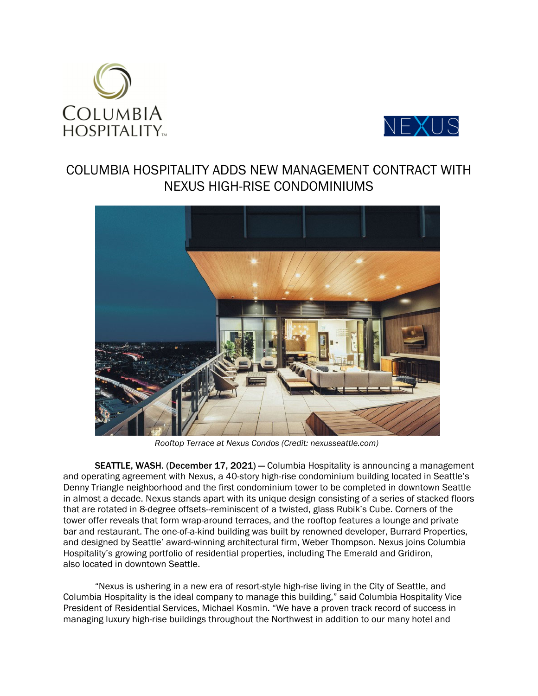



## COLUMBIA HOSPITALITY ADDS NEW MANAGEMENT CONTRACT WITH NEXUS HIGH-RISE CONDOMINIUMS



*Rooftop Terrace at Nexus Condos (Credit: nexusseattle.com)* 

SEATTLE, WASH. (December 17, 2021) — Columbia Hospitality is announcing a management and operating agreement with Nexus, a 40-story high-rise condominium building located in Seattle's Denny Triangle neighborhood and the first condominium tower to be completed in downtown Seattle in almost a decade. Nexus stands apart with its unique design consisting of a series of stacked floors that are rotated in 8-degree offsets--reminiscent of a twisted, glass Rubik's Cube. Corners of the tower offer reveals that form wrap-around terraces, and the rooftop features a lounge and private bar and restaurant. The one-of-a-kind building was built by renowned developer, Burrard Properties, and designed by Seattle' award-winning architectural firm, Weber Thompson. Nexus joins Columbia Hospitality's growing portfolio of residential properties, including The Emerald and Gridiron, also located in downtown Seattle.

"Nexus is ushering in a new era of resort-style high-rise living in the City of Seattle, and Columbia Hospitality is the ideal company to manage this building," said Columbia Hospitality Vice President of Residential Services, Michael Kosmin. "We have a proven track record of success in managing luxury high-rise buildings throughout the Northwest in addition to our many hotel and